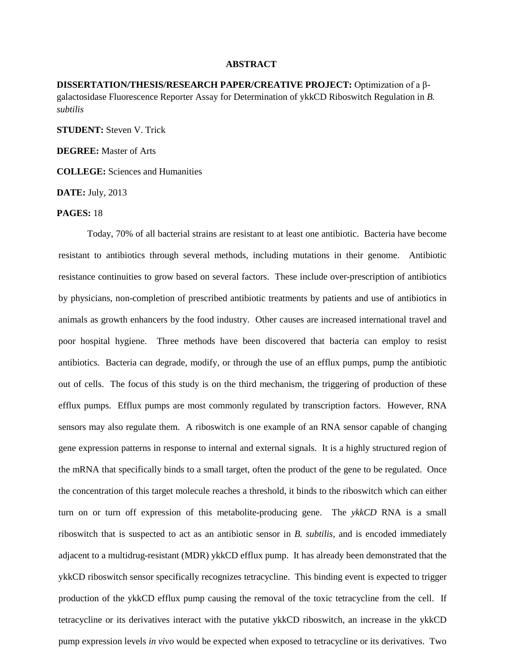## **ABSTRACT**

**DISSERTATION/THESIS/RESEARCH PAPER/CREATIVE PROJECT:** Optimization of a βgalactosidase Fluorescence Reporter Assay for Determination of ykkCD Riboswitch Regulation in *B. subtilis*

**STUDENT:** Steven V. Trick

**DEGREE:** Master of Arts

**COLLEGE:** Sciences and Humanities

**DATE:** July, 2013

## **PAGES:** 18

Today, 70% of all bacterial strains are resistant to at least one antibiotic. Bacteria have become resistant to antibiotics through several methods, including mutations in their genome. Antibiotic resistance continuities to grow based on several factors. These include over-prescription of antibiotics by physicians, non-completion of prescribed antibiotic treatments by patients and use of antibiotics in animals as growth enhancers by the food industry. Other causes are increased international travel and poor hospital hygiene. Three methods have been discovered that bacteria can employ to resist antibiotics. Bacteria can degrade, modify, or through the use of an efflux pumps, pump the antibiotic out of cells. The focus of this study is on the third mechanism, the triggering of production of these efflux pumps. Efflux pumps are most commonly regulated by transcription factors. However, RNA sensors may also regulate them. A riboswitch is one example of an RNA sensor capable of changing gene expression patterns in response to internal and external signals. It is a highly structured region of the mRNA that specifically binds to a small target, often the product of the gene to be regulated. Once the concentration of this target molecule reaches a threshold, it binds to the riboswitch which can either turn on or turn off expression of this metabolite-producing gene. The *ykkCD* RNA is a small riboswitch that is suspected to act as an antibiotic sensor in *B. subtilis,* and is encoded immediately adjacent to a multidrug-resistant (MDR) ykkCD efflux pump. It has already been demonstrated that the ykkCD riboswitch sensor specifically recognizes tetracycline. This binding event is expected to trigger production of the ykkCD efflux pump causing the removal of the toxic tetracycline from the cell. If tetracycline or its derivatives interact with the putative ykkCD riboswitch, an increase in the ykkCD pump expression levels *in vivo* would be expected when exposed to tetracycline or its derivatives. Two